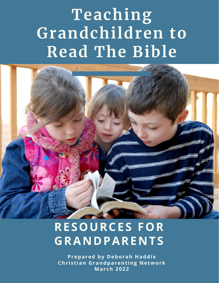# **Teaching Grandchildren to Read The Bible**



## **RESOURCES FOR GRANDPARENTS**

**Prepared by Deborah Haddix Chr i s t ian Grandparent ing Network Mar ch 2022**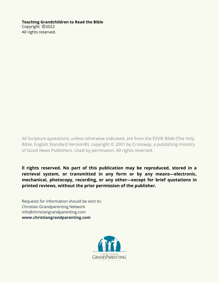#### **Teaching Grandchildren to Read the Bible**

Copyright ©2022 All rights reserved.

All Scripture quotations, unless otherwise indicated, are from the ESV® Bible (The Holy Bible, English Standard Version®), copyright © 2001 by Crossway, a publishing ministry of Good News Publishers. Used by permission. All rights reserved.

**ll rights reserved. No part of this publication may be reproduced, stored in a retrieval system, or transmitted in any form or by any means—electronic, mechanical, photocopy, recording, or any other—except for brief quotations in printed reviews, without the prior permission of the publisher.**

Requests for information should be sent to: Christian Grandparenting Network info@christiangrandparenting.com **[www.christiangrandparenting.com](https://christiangrandparenting.com/)**

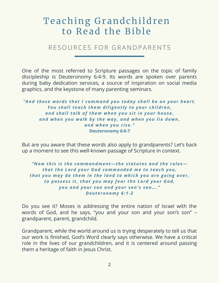### Teaching Grandchildren to Read the Bible

RESOURCES FOR GRANDPARENTS

One of the most referred to Scripture passages on the topic of family discipleship is Deuteronomy 6:4-9. Its words are spoken over parents during baby dedication services, a source of inspiration on social media graphics, and the keystone of many parenting seminars.

*"And these words that I command you today shall be on your hear t . You shall teach them diligent l y to your children, and shall talk of them when you s i t in your house, and when you walk by the way , and when you lie down, and when you r i se. "* **Deuteronomy 6:6-7**

But are you aware that these words also apply to grandparents? Let's back up a moment to see this well-known passage of Scripture in context.

*"Now thi s i s the commandment—the s tatutes and the rules that the Lord your God commanded me to teach you, that you may do them in the land to whi ch you are going over , to pos ses s i t , that you may fear the Lord your God, you and your son and your son' s son…. " Deuteronomy 6:1-2*

Do you see it? Moses is addressing the entire nation of Israel with the words of God, and he says, "you and your son and your son's son" – grandparent, parent, grandchild.

Grandparent, while the world around us is trying desperately to tell us that our work is finished, God's Word clearly says otherwise. We have a critical role in the lives of our grandchildren, and it is centered around passing them a heritage of faith in Jesus Christ.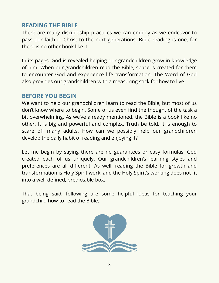#### **READING THE BIBLE**

There are many discipleship practices we can employ as we endeavor to pass our faith in Christ to the next generations. Bible reading is one, for there is no other book like it.

In its pages, God is revealed helping our grandchildren grow in knowledge of him. When our grandchildren read the Bible, space is created for them to encounter God and experience life transformation. The Word of God also provides our grandchildren with a measuring stick for how to live.

#### **BEFORE YOU BEGIN**

We want to help our grandchildren learn to read the Bible, but most of us don't know where to begin. Some of us even find the thought of the task a bit overwhelming. As we've already mentioned, the Bible is a book like no other. It is big and powerful and complex. Truth be told, it is enough to scare off many adults. How can we possibly help our grandchildren develop the daily habit of reading and enjoying it?

Let me begin by saying there are no guarantees or easy formulas. God created each of us uniquely. Our grandchildren's learning styles and preferences are all different. As well, reading the Bible for growth and transformation is Holy Spirit work, and the Holy Spirit's working does not fit into a well-defined, predictable box.

That being said, following are some helpful ideas for teaching your grandchild how to read the Bible.

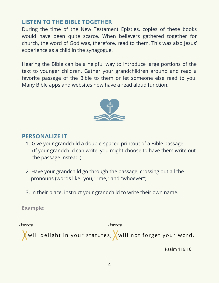#### **LISTEN TO THE BIBLE TOGETHER**

During the time of the New Testament Epistles, copies of these books would have been quite scarce. When believers gathered together for church, the word of God was, therefore, read to them. This was also Jesus' experience as a child in the synagogue.

Hearing the Bible can be a helpful way to introduce large portions of the text to younger children. Gather your grandchildren around and read a favorite passage of the Bible to them or let someone else read to you. Many Bible apps and websites now have a read aloud function.



#### **PERSONALIZE IT**

- Give your grandchild a double-spaced printout of a Bible passage. 1. (If your grandchild can write, you might choose to have them write out the passage instead.)
- 2. Have your grandchild go through the passage, crossing out all the pronouns (words like "you," "me," and "whoever").
- 3. In their place, instruct your grandchild to write their own name.

**Example:**



Psalm 119:16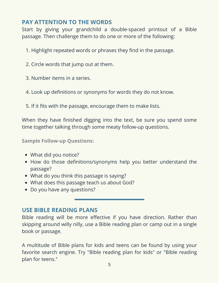#### **PAY ATTENTION TO THE WORDS**

Start by giving your grandchild a double-spaced printout of a Bible passage. Then challenge them to do one or more of the following:

- 1. Highlight repeated words or phrases they find in the passage.
- 2. Circle words that jump out at them.
- 3. Number items in a series.
- 4. Look up definitions or synonyms for words they do not know.
- 5. If it fits with the passage, encourage them to make lists.

When they have finished digging into the text, be sure you spend some time together talking through some meaty follow-up questions.

**Sample Follow-up Questions:**

- What did you notice?
- How do those definitions/synonyms help you better understand the passage?
- What do you think this passage is saying?
- What does this passage teach us about God?
- Do you have any questions?

#### **USE BIBLE READING PLANS**

Bible reading will be more effective if you have direction. Rather than skipping around willy nilly, use a Bible reading plan or camp out in a single book or passage.

A multitude of Bible plans for kids and teens can be found by using your favorite search engine. Try "Bible reading plan for kids" or "Bible reading plan for teens."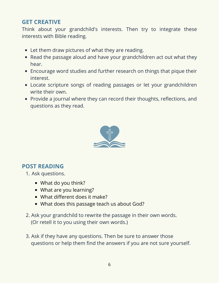#### **GET CREATIVE**

Think about your grandchild's interests. Then try to integrate these interests with Bible reading.

- Let them draw pictures of what they are reading.
- Read the passage aloud and have your grandchildren act out what they hear.
- Encourage word studies and further research on things that pique their interest.
- Locate scripture songs of reading passages or let your grandchildren write their own.
- Provide a journal where they can record their thoughts, reflections, and questions as they read.



#### **POST READING**

- 1. Ask questions.
	- What do you think?
	- What are you learning?
	- What different does it make?
	- What does this passage teach us about God?
- 2. Ask your grandchild to rewrite the passage in their own words. (Or retell it to you using their own words.)
- 3. Ask if they have any questions. Then be sure to answer those questions or help them find the answers if you are not sure yourself.